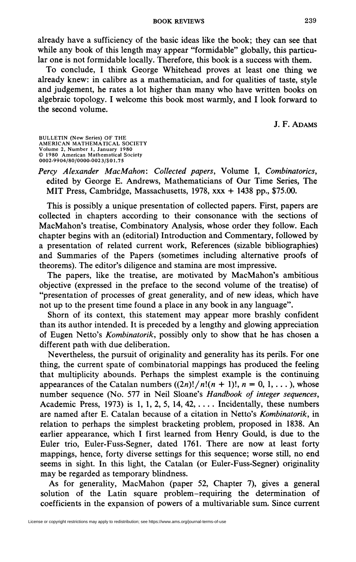## **BOOK REVIEWS** 239

already have a sufficiency of the basic ideas like the book; they can see that while any book of this length may appear "formidable" globally, this particular one is not formidable locally. Therefore, this book is a success with them.

To conclude, I think George Whitehead proves at least one thing we already knew: in calibre as a mathematician, and for qualities of taste, style and judgement, he rates a lot higher than many who have written books on algebraic topology. I welcome this book most warmly, and I look forward to the second volume.

J. F. ADAMS

BULLETIN (New Series) OF THE AMERICAN MATHEMATICAL SOCIETY Volume 2, Number 1, January 1980 © 1980 American Mathematical Society 0002-9904/80/0000-0023/\$01.75

*Percy Alexander MacMahon: Collected papers,* Volume I, *Combinatorics,*  edited by George E. Andrews, Mathematicians of Our Time Series, The MIT Press, Cambridge, Massachusetts, 1978, xxx + 1438 pp., \$75.00.

This is possibly a unique presentation of collected papers. First, papers are collected in chapters according to their consonance with the sections of MacMahon's treatise, Combinatory Analysis, whose order they follow. Each chapter begins with an (editorial) Introduction and Commentary, followed by a presentation of related current work, References (sizable bibliographies) and Summaries of the Papers (sometimes including alternative proofs of theorems). The editor's diligence and stamina are most impressive.

The papers, like the treatise, are motivated by MacMahon's ambitious objective (expressed in the preface to the second volume of the treatise) of "presentation of processes of great generality, and of new ideas, which have not up to the present time found a place in any book in any language".

Shorn of its context, this statement may appear more brashly confident than its author intended. It is preceded by a lengthy and glowing appreciation of Eugen Netto's *Kombinatorik,* possibly only to show that he has chosen a different path with due deliberation.

Nevertheless, the pursuit of originality and generality has its perils. For one thing, the current spate of combinatorial mappings has produced the feeling that multiplicity abounds. Perhaps the simplest example is the continuing appearances of the Catalan numbers  $((2n)!/n!(n + 1)!, n = 0, 1, ...)$ , whose number sequence (No. 577 in Neil Sloane's *Handbook of integer sequences,*  Academic Press, 1973) is  $1, 1, 2, 5, 14, 42, \ldots$  Incidentally, these numbers are named after E. Catalan because of a citation in Netto's *Kombinatorik,* in relation to perhaps the simplest bracketing problem, proposed in 1838. An earlier appearance, which I first learned from Henry Gould, is due to the Euler trio, Euler-Fuss-Segner, dated 1761. There are now at least forty mappings, hence, forty diverse settings for this sequence; worse still, no end seems in sight. In this light, the Catalan (or Euler-Fuss-Segner) originality may be regarded as temporary blindness.

As for generality, MacMahon (paper 52, Chapter 7), gives a general solution of the Latin square problem-requiring the determination of coefficients in the expansion of powers of a multivariable sum. Since current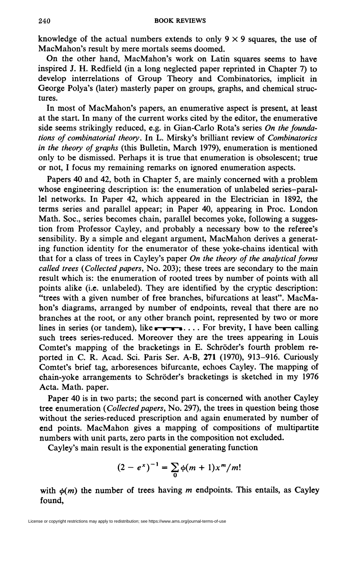knowledge of the actual numbers extends to only  $9 \times 9$  squares, the use of MacMahon's result by mere mortals seems doomed.

On the other hand, MacMahon's work on Latin squares seems to have inspired J. H. Redfield (in a long neglected paper reprinted in Chapter 7) to develop interrelations of Group Theory and Combinatorics, implicit in George Polya's (later) masterly paper on groups, graphs, and chemical structures.

In most of MacMahon's papers, an enumerative aspect is present, at least at the start. In many of the current works cited by the editor, the enumerative side seems strikingly reduced, e.g. in Gian-Carlo Rota's series *On the foundations of combinatorial theory.* In L. Mirsky's brilliant review of *Combinatorics in the theory of graphs* (this Bulletin, March 1979), enumeration is mentioned only to be dismissed. Perhaps it is true that enumeration is obsolescent; true or not, I focus my remaining remarks on ignored enumeration aspects.

Papers 40 and 42, both in Chapter 5, are mainly concerned with a problem whose engineering description is: the enumeration of unlabeled series-parallel networks. In Paper 42, which appeared in the Electrician in 1892, the terms series and parallel appear; in Paper 40, appearing in Proc. London Math. Soc, series becomes chain, parallel becomes yoke, following a suggestion from Professor Cayley, and probably a necessary bow to the referee's sensibility. By a simple and elegant argument, MacMahon derives a generating function identity for the enumerator of these yoke-chains identical with that for a class of trees in Cay ley's paper *On the theory of the analytical forms called trees (Collected papers, No. 203)*; these trees are secondary to the main result which is: the enumeration of rooted trees by number of points with all points alike (i.e. unlabeled). They are identified by the cryptic description: "trees with a given number of free branches, bifurcations at least". MacMahon's diagrams, arranged by number of endpoints, reveal that there are no branches at the root, or any other branch point, represented by two or more lines in series (or tandem), like  $\bullet \bullet \bullet \bullet \bullet \bullet \bullet \bullet \bullet \bullet \bullet \bullet \bullet \bullet \bullet \bullet$  calling such trees series-reduced. Moreover they are the trees appearing in Louis Comtet's mapping of the bracketings in E. Schroder's fourth problem reported in C. R. Acad. Sci. Paris Ser. A-B, **271** (1970), 913-916. Curiously Comtet's brief tag, arboresences bifurcante, echoes Cayley. The mapping of chain-yoke arrangements to Schroder's bracketings is sketched in my 1976 Acta. Math, paper.

Paper 40 is in two parts; the second part is concerned with another Cayley tree enumeration *(Collected papers, No. 297)*, the trees in question being those without the series-reduced prescription and again enumerated by number of end points. MacMahon gives a mapping of compositions of multipartite numbers with unit parts, zero parts in the composition not excluded.

Cayley's main result is the exponential generating function

$$
(2-e^x)^{-1} = \sum_0 \phi(m+1)x^m/m!
$$

with  $\phi(m)$  the number of trees having *m* endpoints. This entails, as Cayley found,